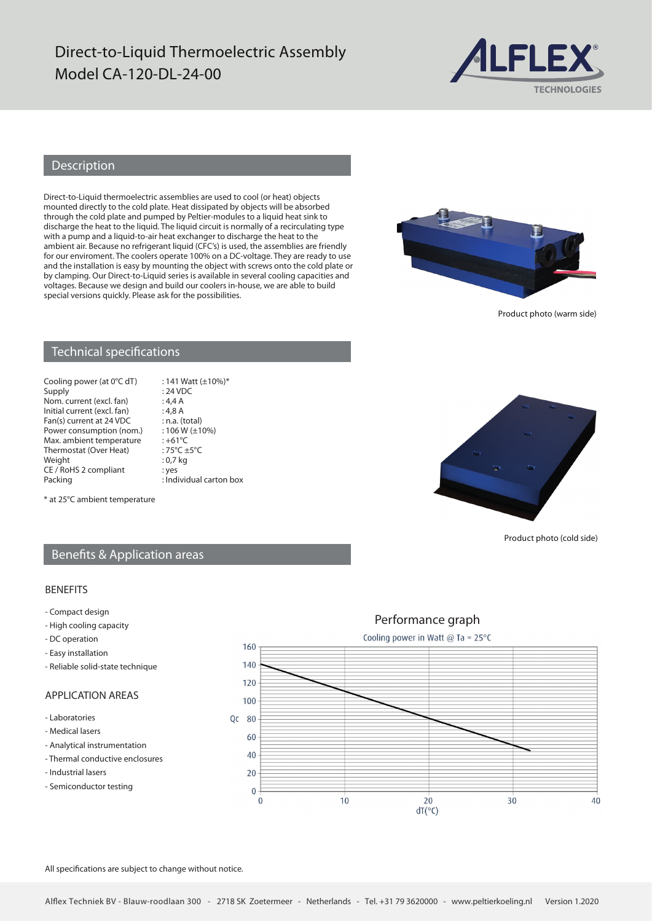# Direct-to-Liquid Thermoelectric Assembly Model CA-120-DL-24-00



#### Description

Direct-to-Liquid thermoelectric assemblies are used to cool (or heat) objects mounted directly to the cold plate. Heat dissipated by objects will be absorbed through the cold plate and pumped by Peltier-modules to a liquid heat sink to discharge the heat to the liquid. The liquid circuit is normally of a recirculating type with a pump and a liquid-to-air heat exchanger to discharge the heat to the ambient air. Because no refrigerant liquid (CFC's) is used, the assemblies are friendly for our enviroment. The coolers operate 100% on a DC-voltage. They are ready to use and the installation is easy by mounting the object with screws onto the cold plate or by clamping. Our Direct-to-Liquid series is available in several cooling capacities and voltages. Because we design and build our coolers in-house, we are able to build special versions quickly. Please ask for the possibilities.



Product photo (warm side)

#### Technical specifications

Cooling power (at  $0^{\circ}$ C dT) : 141 Watt (±10%)\*<br>Supply : 24 VDC Nom. current (excl. fan) : 4,4 A<br>Initial current (excl. fan) : 4,8 A Initial current (excl. fan) : 4,8 A<br>Fan(s) current at 24 VDC : n.a. (total) Fan(s) current at  $24 \text{ VDC}$  : n.a. (total)<br>Power consumption (nom.) : 106 W ( $\pm$ 10%) Power consumption (nom.) :  $106 W$ <br>Max ambient temperature :  $+61°C$ Max. ambient temperature : +61°C<br>Thermostat (Over Heat) : 75°C +5°C Thermostat (Over Heat) :  $75^{\circ}C \pm$ <br>Weight : 0,7 kg Weight CE / RoHS 2 compliant : yes<br>Packing : Ind

 $: 24$  VDC  $:$  Individual carton box



Product photo (cold side)

#### \* at 25°C ambient temperature

### Benefits & Application areas

#### BENEFITS

- Compact design
- High cooling capacity
- DC operation
- Easy installation
- Reliable solid-state technique

## APPLICATION AREAS

- Laboratories
- Medical lasers
- Analytical instrumentation
- Thermal conductive enclosures
- Industrial lasers
- Semiconductor testing



All specifications are subject to change without notice.